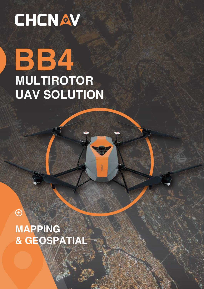## CHCNAV

# **BB4 MULTIROTOR UAV SOLUTION**

 $\bigoplus$ **MAPPING & GEOSPATIAL**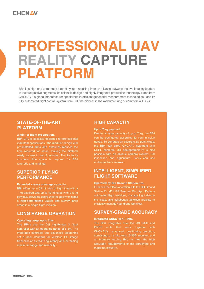### **PROFESSIONAL UAV PLATFORM REALITY CAPTURE**

BB4 is a high-end unmanned aircraft system resulting from an alliance between the two industry leaders in their respective segments. Its scientific design and highly integrated production technology come from CHCNAV - a global manufacturer specialized in efficient geospatial measurement technologies - and its fully automated flight control system from DJI, the pioneer in the manufacturing of commercial UAVs.

#### **STATE-OF-THE-ART PLATFORM**

#### **2 min for flight preparation.**

BB4 UAV is specially designed for professional industrial applications. The modular design with pre-installed arms and antennas reduces the time required for setup, making the platform ready for use in just 2 minutes. Thanks to its structure, little space is required for BB4 take-offs and landings.

#### **SUPERIOR FLYING PERFORMANCE**

#### **Extended survey coverage capacity.**

BB4 offers up to 55 minutes of flight time with a 1 kg payload and up to 40 minutes with a 5 kg payload, providing users with the ability to install a high-performance LiDAR and survey large areas in a single flight mission.

#### **LONG RANGE OPERATION**

#### **Operating range up to 5 km.**

The BB4s use the DJI Lightbridge 2 flight controller with an operating range of 5 km. The integrated controller and advanced algorithms set a new standard for wireless HD image transmission by reducing latency and increasing maximum range and reliability.

#### **HIGH CAPACITY**

#### **Up to 7 kg payload.**

Due to its large capacity of up to 7 kg, the BB4 can be configured according to your mission needs. To generate an accurate 3D point cloud, the BB4 can carry CHCNAV scanners with DSRL cameras. 3D photogrammetry is also possible with an oblique camera system. For inspection and agriculture, users can use multi-spectral cameras.

#### **INTELLIGENT, SIMPLIFIED FLIGHT SOFTWARE**

#### **Operated by DJI Ground Station Pro.**

Enhance the BB4's operation with the DJI Ground Station Pro (DJI GS Pro), an iPad App. Perform automated flight missions, manage flight data in the cloud, and collaborate between projects to efficiently manage your drone workflow.

#### **SURVEY-GRADE ACCURACY**

#### **Integrated GNSS RTK + IMU.**

The BB4 integrates dual DJI A3 IMUs and GNSS units that work together with CHCNAV's advanced positioning solution, consisting of a high-end GNSS receiver and an industry leading IMU to meet the high accuracy requirements of the surveying and mapping industry.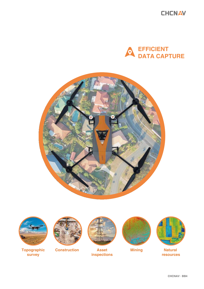**CHCNAV** 







**Topographic survey**



**Construction Asset**



**inspections**





**Mining Natural resources**